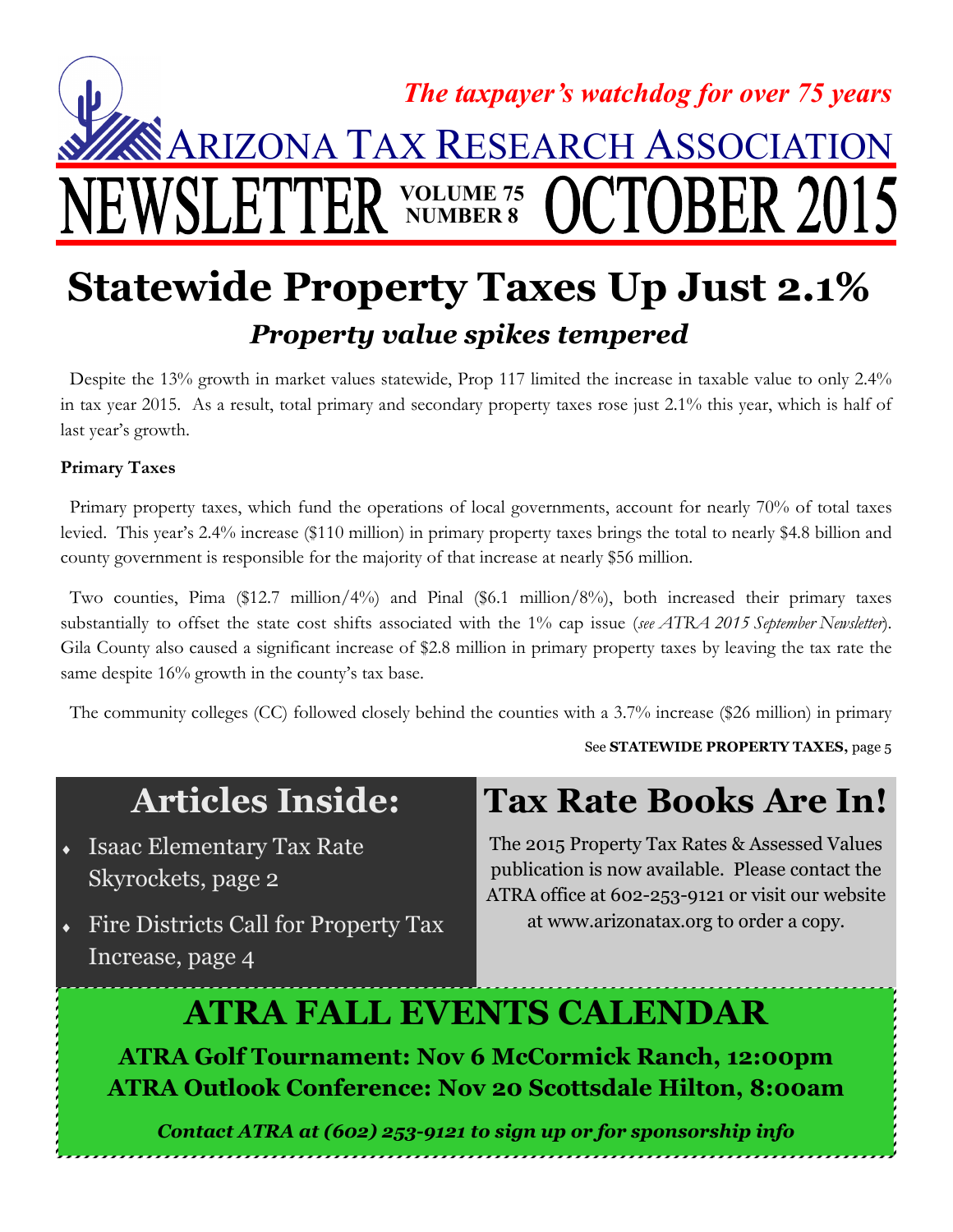

### **Statewide Property Taxes Up Just 2.1%** *Property value spikes tempered*

 Despite the 13% growth in market values statewide, Prop 117 limited the increase in taxable value to only 2.4% in tax year 2015. As a result, total primary and secondary property taxes rose just 2.1% this year, which is half of last year's growth.

### **Primary Taxes**

 Primary property taxes, which fund the operations of local governments, account for nearly 70% of total taxes levied. This year's 2.4% increase (\$110 million) in primary property taxes brings the total to nearly \$4.8 billion and county government is responsible for the majority of that increase at nearly \$56 million.

 Two counties, Pima (\$12.7 million/4%) and Pinal (\$6.1 million/8%), both increased their primary taxes substantially to offset the state cost shifts associated with the 1% cap issue (*see ATRA 2015 September Newsletter*). Gila County also caused a significant increase of \$2.8 million in primary property taxes by leaving the tax rate the same despite 16% growth in the county's tax base.

The community colleges (CC) followed closely behind the counties with a 3.7% increase (\$26 million) in primary

See **STATEWIDE PROPERTY TAXES,** page 5

### **Articles Inside:**

- **Isaac Elementary Tax Rate** Skyrockets, page 2
- **Fire Districts Call for Property Tax** Increase, page 4

### **Tax Rate Books Are In!**

The 2015 Property Tax Rates & Assessed Values publication is now available. Please contact the ATRA office at 602-253-9121 or visit our website at www.arizonatax.org to order a copy.

### **ATRA FALL EVENTS CALENDAR**

**ATRA Golf Tournament: Nov 6 McCormick Ranch, 12:00pm ATRA Outlook Conference: Nov 20 Scottsdale Hilton, 8:00am**

*Contact ATRA at (602) 253-9121 to sign up or for sponsorship info*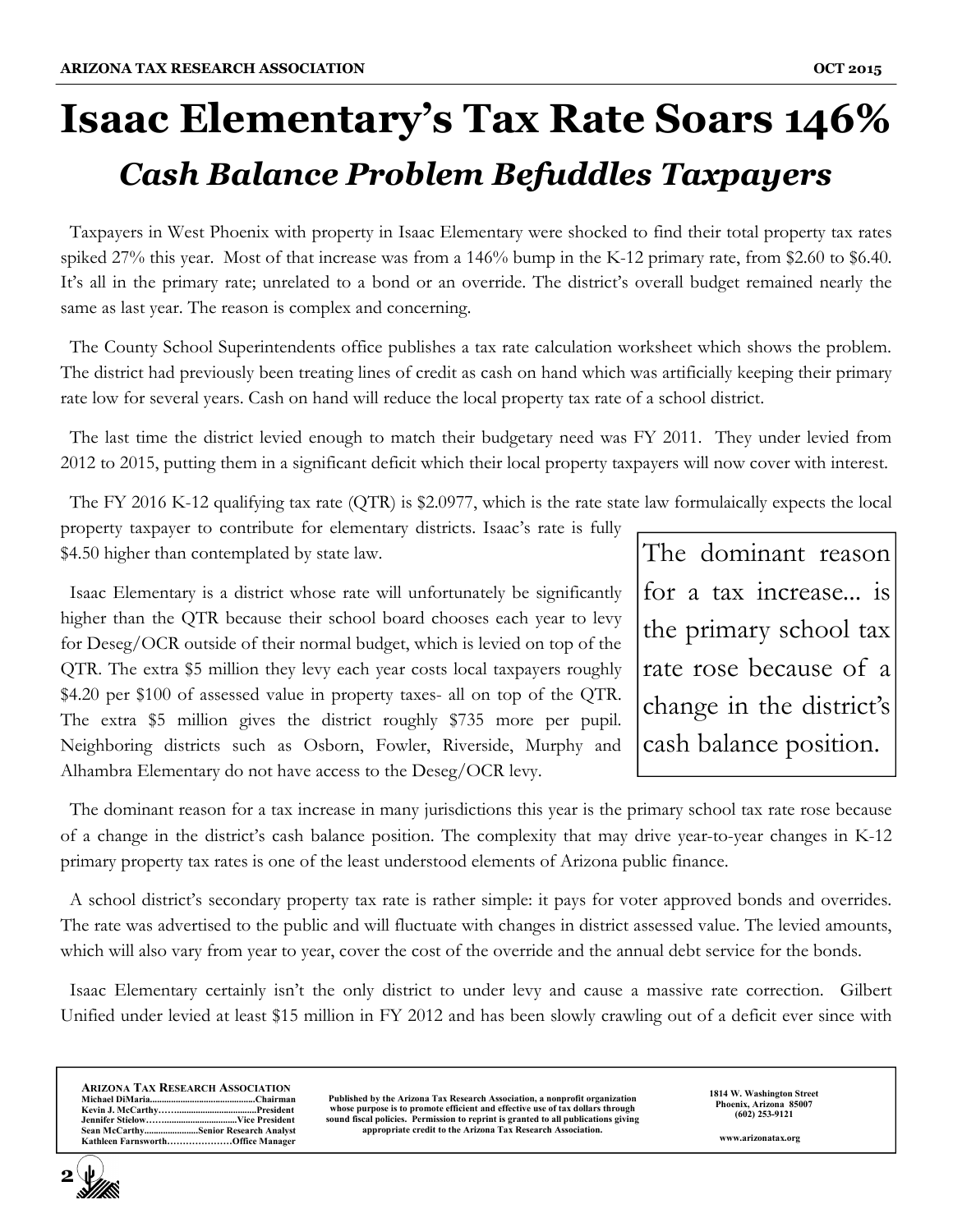# **Isaac Elementary's Tax Rate Soars 146%** *Cash Balance Problem Befuddles Taxpayers*

 Taxpayers in West Phoenix with property in Isaac Elementary were shocked to find their total property tax rates spiked 27% this year. Most of that increase was from a 146% bump in the K-12 primary rate, from \$2.60 to \$6.40. It's all in the primary rate; unrelated to a bond or an override. The district's overall budget remained nearly the same as last year. The reason is complex and concerning.

 The County School Superintendents office publishes a tax rate calculation worksheet which shows the problem. The district had previously been treating lines of credit as cash on hand which was artificially keeping their primary rate low for several years. Cash on hand will reduce the local property tax rate of a school district.

 The last time the district levied enough to match their budgetary need was FY 2011. They under levied from 2012 to 2015, putting them in a significant deficit which their local property taxpayers will now cover with interest.

The FY 2016 K-12 qualifying tax rate (QTR) is \$2.0977, which is the rate state law formulaically expects the local

property taxpayer to contribute for elementary districts. Isaac's rate is fully \$4.50 higher than contemplated by state law.

 Isaac Elementary is a district whose rate will unfortunately be significantly higher than the QTR because their school board chooses each year to levy for Deseg/OCR outside of their normal budget, which is levied on top of the QTR. The extra \$5 million they levy each year costs local taxpayers roughly \$4.20 per \$100 of assessed value in property taxes- all on top of the QTR. The extra \$5 million gives the district roughly \$735 more per pupil. Neighboring districts such as Osborn, Fowler, Riverside, Murphy and Alhambra Elementary do not have access to the Deseg/OCR levy.

The dominant reason for a tax increase... is the primary school tax rate rose because of a change in the district's cash balance position.

 The dominant reason for a tax increase in many jurisdictions this year is the primary school tax rate rose because of a change in the district's cash balance position. The complexity that may drive year-to-year changes in K-12 primary property tax rates is one of the least understood elements of Arizona public finance.

 A school district's secondary property tax rate is rather simple: it pays for voter approved bonds and overrides. The rate was advertised to the public and will fluctuate with changes in district assessed value. The levied amounts, which will also vary from year to year, cover the cost of the override and the annual debt service for the bonds.

 Isaac Elementary certainly isn't the only district to under levy and cause a massive rate correction. Gilbert Unified under levied at least \$15 million in FY 2012 and has been slowly crawling out of a deficit ever since with

| <b>ARIZONA TAX RESEARCH ASSOCIATION</b> |
|-----------------------------------------|
|                                         |
|                                         |
|                                         |
| Sean McCarthySenior Research Analyst    |
| Kathleen FarnsworthOffice Manager       |

**2**

**Published by the Arizona Tax Research Association, a nonprofit organization whose purpose is to promote efficient and effective use of tax dollars through sound fiscal policies. Permission to reprint is granted to all publications giving appropriate credit to the Arizona Tax Research Association.**  **1814 W. Washington Street Phoenix, Arizona 85007 (602) 253-9121** 

**www.arizonatax.org**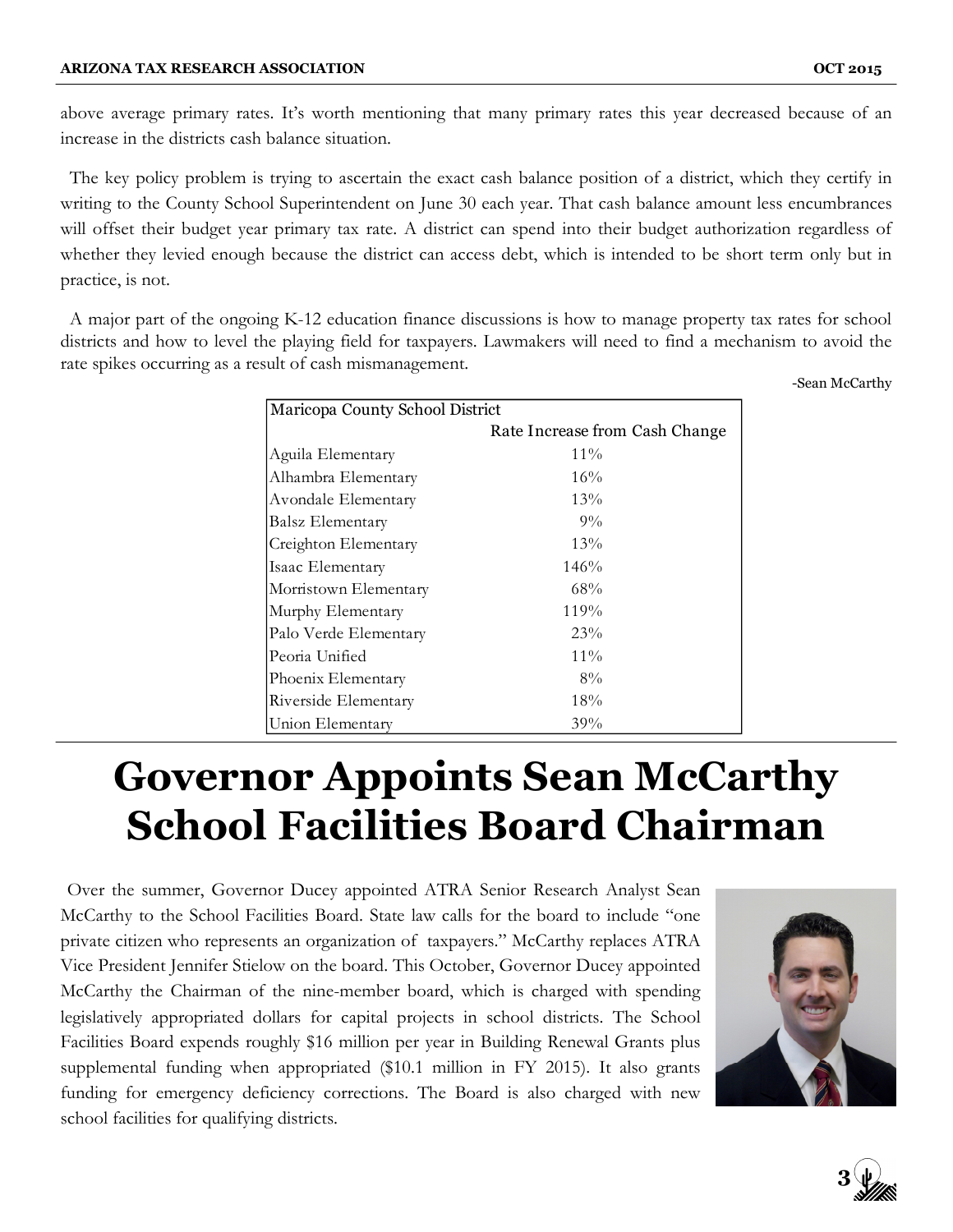above average primary rates. It's worth mentioning that many primary rates this year decreased because of an increase in the districts cash balance situation.

 The key policy problem is trying to ascertain the exact cash balance position of a district, which they certify in writing to the County School Superintendent on June 30 each year. That cash balance amount less encumbrances will offset their budget year primary tax rate. A district can spend into their budget authorization regardless of whether they levied enough because the district can access debt, which is intended to be short term only but in practice, is not.

 A major part of the ongoing K-12 education finance discussions is how to manage property tax rates for school districts and how to level the playing field for taxpayers. Lawmakers will need to find a mechanism to avoid the rate spikes occurring as a result of cash mismanagement.

-Sean McCarthy

| Maricopa County School District |                                |  |  |  |  |
|---------------------------------|--------------------------------|--|--|--|--|
|                                 | Rate Increase from Cash Change |  |  |  |  |
| Aguila Elementary               | $11\%$                         |  |  |  |  |
| Alhambra Elementary             | 16%                            |  |  |  |  |
| Avondale Elementary             | 13%                            |  |  |  |  |
| Balsz Elementary                | $9\%$                          |  |  |  |  |
| Creighton Elementary            | 13%                            |  |  |  |  |
| Isaac Elementary                | 146%                           |  |  |  |  |
| Morristown Elementary           | 68%                            |  |  |  |  |
| Murphy Elementary               | 119%                           |  |  |  |  |
| Palo Verde Elementary           | 23%                            |  |  |  |  |
| Peoria Unified                  | $11\%$                         |  |  |  |  |
| Phoenix Elementary              | $8\%$                          |  |  |  |  |
| Riverside Elementary            | 18%                            |  |  |  |  |
| Union Elementary                | $39\%$                         |  |  |  |  |

## **Governor Appoints Sean McCarthy School Facilities Board Chairman**

 Over the summer, Governor Ducey appointed ATRA Senior Research Analyst Sean McCarthy to the School Facilities Board. State law calls for the board to include "one private citizen who represents an organization of taxpayers." McCarthy replaces ATRA Vice President Jennifer Stielow on the board. This October, Governor Ducey appointed McCarthy the Chairman of the nine-member board, which is charged with spending legislatively appropriated dollars for capital projects in school districts. The School Facilities Board expends roughly \$16 million per year in Building Renewal Grants plus supplemental funding when appropriated (\$10.1 million in FY 2015). It also grants funding for emergency deficiency corrections. The Board is also charged with new school facilities for qualifying districts.



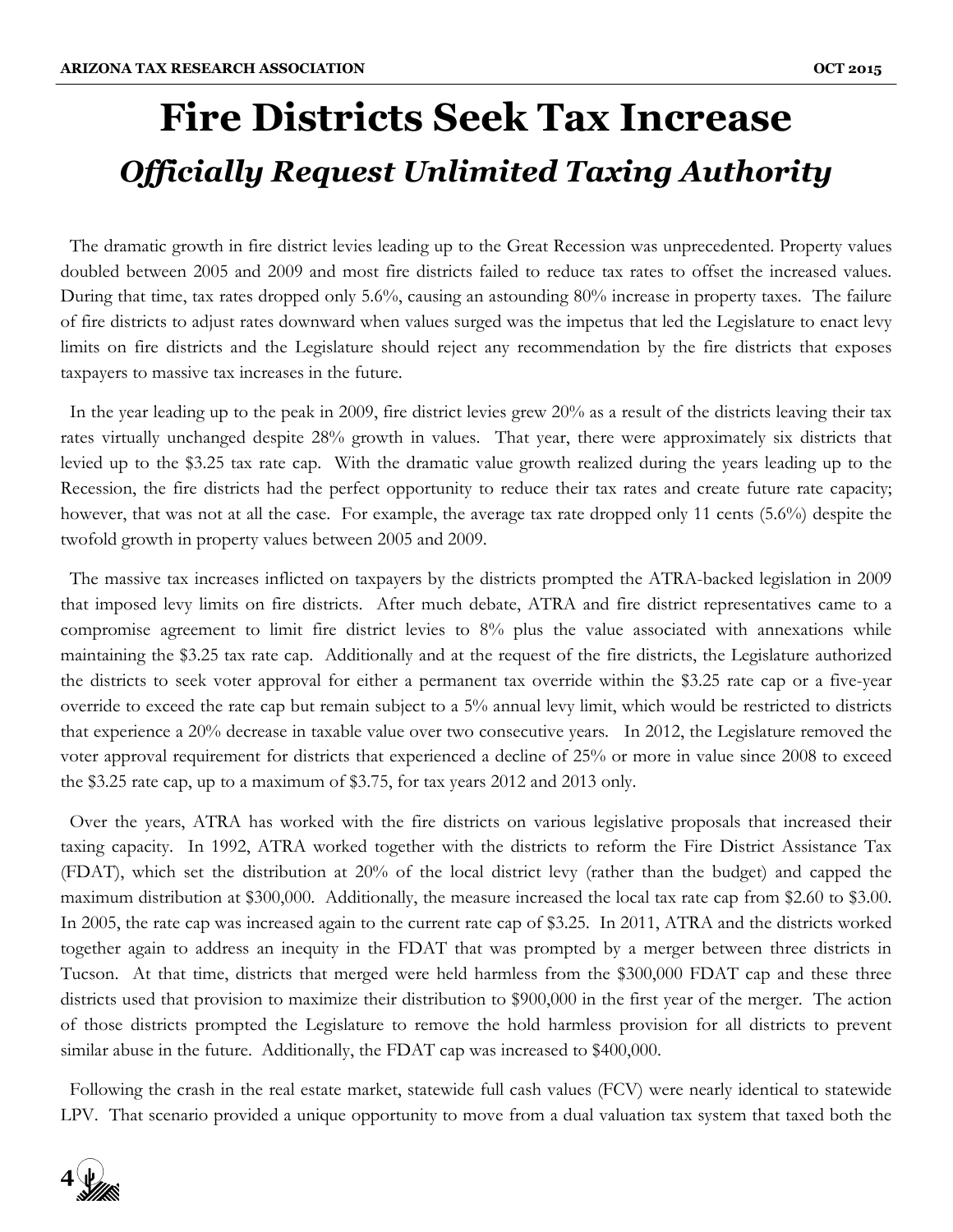## **Fire Districts Seek Tax Increase**  *Officially Request Unlimited Taxing Authority*

 The dramatic growth in fire district levies leading up to the Great Recession was unprecedented. Property values doubled between 2005 and 2009 and most fire districts failed to reduce tax rates to offset the increased values. During that time, tax rates dropped only 5.6%, causing an astounding 80% increase in property taxes. The failure of fire districts to adjust rates downward when values surged was the impetus that led the Legislature to enact levy limits on fire districts and the Legislature should reject any recommendation by the fire districts that exposes taxpayers to massive tax increases in the future.

 In the year leading up to the peak in 2009, fire district levies grew 20% as a result of the districts leaving their tax rates virtually unchanged despite 28% growth in values. That year, there were approximately six districts that levied up to the \$3.25 tax rate cap. With the dramatic value growth realized during the years leading up to the Recession, the fire districts had the perfect opportunity to reduce their tax rates and create future rate capacity; however, that was not at all the case. For example, the average tax rate dropped only 11 cents (5.6%) despite the twofold growth in property values between 2005 and 2009.

 The massive tax increases inflicted on taxpayers by the districts prompted the ATRA-backed legislation in 2009 that imposed levy limits on fire districts. After much debate, ATRA and fire district representatives came to a compromise agreement to limit fire district levies to 8% plus the value associated with annexations while maintaining the \$3.25 tax rate cap. Additionally and at the request of the fire districts, the Legislature authorized the districts to seek voter approval for either a permanent tax override within the \$3.25 rate cap or a five-year override to exceed the rate cap but remain subject to a 5% annual levy limit, which would be restricted to districts that experience a 20% decrease in taxable value over two consecutive years. In 2012, the Legislature removed the voter approval requirement for districts that experienced a decline of 25% or more in value since 2008 to exceed the \$3.25 rate cap, up to a maximum of \$3.75, for tax years 2012 and 2013 only.

 Over the years, ATRA has worked with the fire districts on various legislative proposals that increased their taxing capacity. In 1992, ATRA worked together with the districts to reform the Fire District Assistance Tax (FDAT), which set the distribution at 20% of the local district levy (rather than the budget) and capped the maximum distribution at \$300,000. Additionally, the measure increased the local tax rate cap from \$2.60 to \$3.00. In 2005, the rate cap was increased again to the current rate cap of \$3.25. In 2011, ATRA and the districts worked together again to address an inequity in the FDAT that was prompted by a merger between three districts in Tucson. At that time, districts that merged were held harmless from the \$300,000 FDAT cap and these three districts used that provision to maximize their distribution to \$900,000 in the first year of the merger. The action of those districts prompted the Legislature to remove the hold harmless provision for all districts to prevent similar abuse in the future. Additionally, the FDAT cap was increased to \$400,000.

 Following the crash in the real estate market, statewide full cash values (FCV) were nearly identical to statewide LPV. That scenario provided a unique opportunity to move from a dual valuation tax system that taxed both the

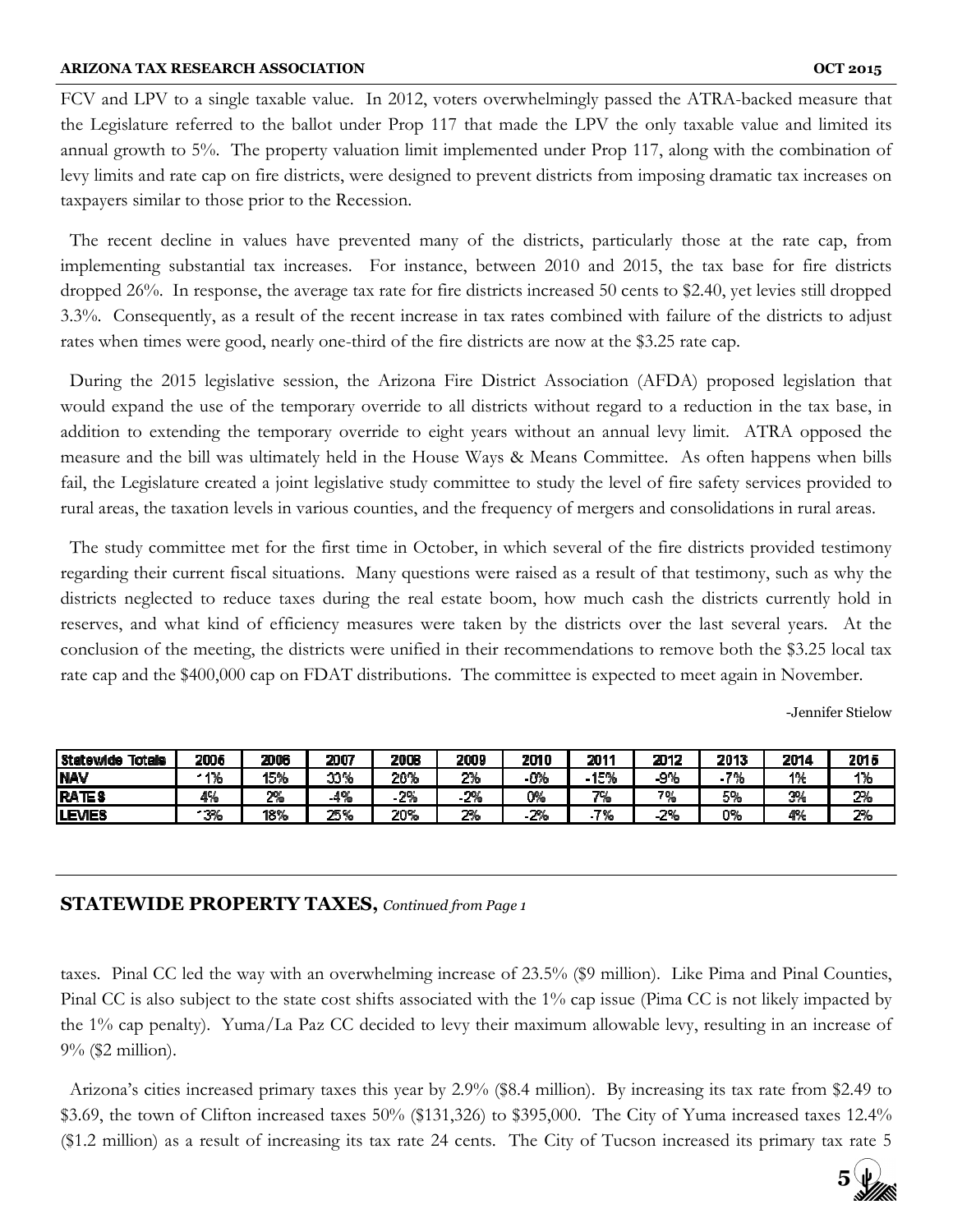FCV and LPV to a single taxable value. In 2012, voters overwhelmingly passed the ATRA-backed measure that the Legislature referred to the ballot under Prop 117 that made the LPV the only taxable value and limited its annual growth to 5%. The property valuation limit implemented under Prop 117, along with the combination of levy limits and rate cap on fire districts, were designed to prevent districts from imposing dramatic tax increases on taxpayers similar to those prior to the Recession.

 The recent decline in values have prevented many of the districts, particularly those at the rate cap, from implementing substantial tax increases. For instance, between 2010 and 2015, the tax base for fire districts dropped 26%. In response, the average tax rate for fire districts increased 50 cents to \$2.40, yet levies still dropped 3.3%. Consequently, as a result of the recent increase in tax rates combined with failure of the districts to adjust rates when times were good, nearly one-third of the fire districts are now at the \$3.25 rate cap.

 During the 2015 legislative session, the Arizona Fire District Association (AFDA) proposed legislation that would expand the use of the temporary override to all districts without regard to a reduction in the tax base, in addition to extending the temporary override to eight years without an annual levy limit. ATRA opposed the measure and the bill was ultimately held in the House Ways & Means Committee. As often happens when bills fail, the Legislature created a joint legislative study committee to study the level of fire safety services provided to rural areas, the taxation levels in various counties, and the frequency of mergers and consolidations in rural areas.

 The study committee met for the first time in October, in which several of the fire districts provided testimony regarding their current fiscal situations. Many questions were raised as a result of that testimony, such as why the districts neglected to reduce taxes during the real estate boom, how much cash the districts currently hold in reserves, and what kind of efficiency measures were taken by the districts over the last several years. At the conclusion of the meeting, the districts were unified in their recommendations to remove both the \$3.25 local tax rate cap and the \$400,000 cap on FDAT distributions. The committee is expected to meet again in November.

-Jennifer Stielow

| Statewide Totals | 2005 | 2006  | 2007               | 2008 | 2009 | <b>2010</b> | 2011  | 2012          | 2013  | 2014 | 2015 |
|------------------|------|-------|--------------------|------|------|-------------|-------|---------------|-------|------|------|
| <b>NAV</b>       | - 1% | 15%   | ገገዔ<br>والمتواصل   | 20%  | 2%   | -8%         | 15%   | $-9%$         | $-7%$ | 1%   | 1%   |
| <b>RATES</b>     | 4%   | $2\%$ | 40t<br>-470        | -2%  | - 2% | 0%          | 7%    | 7%            | 5%    | 2%   | 2%   |
| <b>LEVES</b>     | - 3% | 18%   | <b>TIEG</b><br>. . | 20%  | 2%   | 2%          | $7\%$ | 700<br>-2. 10 | 0%    | 4%   | 2%   |

### **STATEWIDE PROPERTY TAXES,** *Continued from Page 1*

taxes. Pinal CC led the way with an overwhelming increase of 23.5% (\$9 million). Like Pima and Pinal Counties, Pinal CC is also subject to the state cost shifts associated with the 1% cap issue (Pima CC is not likely impacted by the 1% cap penalty). Yuma/La Paz CC decided to levy their maximum allowable levy, resulting in an increase of 9% (\$2 million).

 Arizona's cities increased primary taxes this year by 2.9% (\$8.4 million). By increasing its tax rate from \$2.49 to \$3.69, the town of Clifton increased taxes 50% (\$131,326) to \$395,000. The City of Yuma increased taxes 12.4% (\$1.2 million) as a result of increasing its tax rate 24 cents. The City of Tucson increased its primary tax rate 5

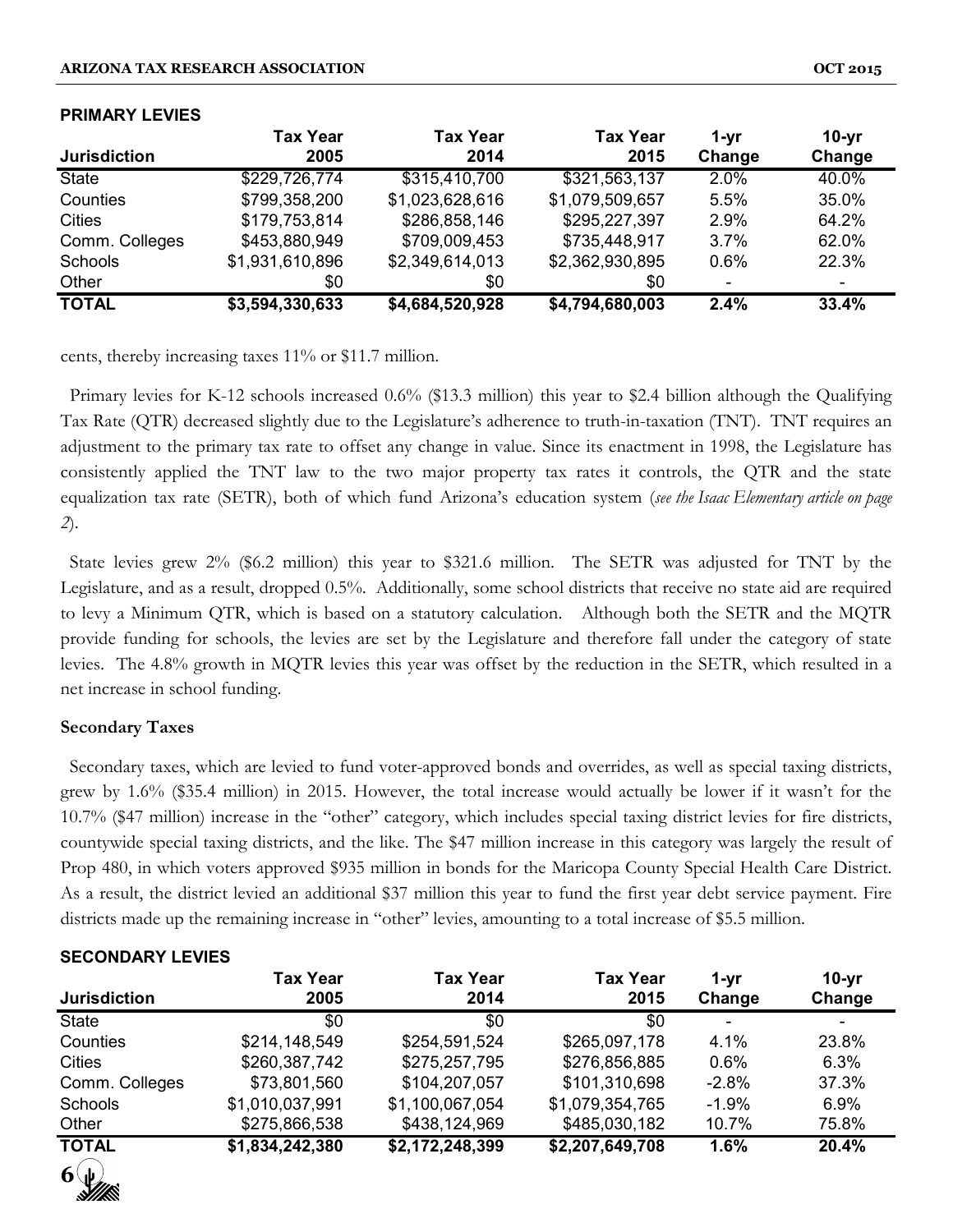| <b>Jurisdiction</b> | <b>Tax Year</b><br>2005 | <b>Tax Year</b><br>2014 | <b>Tax Year</b><br>2015 | 1-vr<br>Change | $10-yr$<br>Change |
|---------------------|-------------------------|-------------------------|-------------------------|----------------|-------------------|
| <b>State</b>        | \$229,726,774           | \$315,410,700           | \$321,563,137           | 2.0%           | 40.0%             |
| Counties            | \$799,358,200           | \$1,023,628,616         | \$1,079,509,657         | 5.5%           | 35.0%             |
| <b>Cities</b>       | \$179,753,814           | \$286,858,146           | \$295,227,397           | 2.9%           | 64.2%             |
| Comm. Colleges      | \$453,880,949           | \$709,009,453           | \$735,448,917           | 3.7%           | 62.0%             |
| Schools             | \$1,931,610,896         | \$2,349,614,013         | \$2,362,930,895         | 0.6%           | 22.3%             |
| Other               | \$0                     | \$0                     | \$0                     |                |                   |
| <b>TOTAL</b>        | \$3,594,330,633         | \$4,684,520,928         | \$4,794,680,003         | 2.4%           | 33.4%             |

#### **PRIMARY LEVIES**

cents, thereby increasing taxes 11% or \$11.7 million.

 Primary levies for K-12 schools increased 0.6% (\$13.3 million) this year to \$2.4 billion although the Qualifying Tax Rate (QTR) decreased slightly due to the Legislature's adherence to truth-in-taxation (TNT). TNT requires an adjustment to the primary tax rate to offset any change in value. Since its enactment in 1998, the Legislature has consistently applied the TNT law to the two major property tax rates it controls, the QTR and the state equalization tax rate (SETR), both of which fund Arizona's education system (*see the Isaac Elementary article on page 2*).

 State levies grew 2% (\$6.2 million) this year to \$321.6 million. The SETR was adjusted for TNT by the Legislature, and as a result, dropped 0.5%. Additionally, some school districts that receive no state aid are required to levy a Minimum QTR, which is based on a statutory calculation. Although both the SETR and the MQTR provide funding for schools, the levies are set by the Legislature and therefore fall under the category of state levies. The 4.8% growth in MQTR levies this year was offset by the reduction in the SETR, which resulted in a net increase in school funding.

#### **Secondary Taxes**

**SECONDARY LEVIES**

 Secondary taxes, which are levied to fund voter-approved bonds and overrides, as well as special taxing districts, grew by 1.6% (\$35.4 million) in 2015. However, the total increase would actually be lower if it wasn't for the 10.7% (\$47 million) increase in the "other" category, which includes special taxing district levies for fire districts, countywide special taxing districts, and the like. The \$47 million increase in this category was largely the result of Prop 480, in which voters approved \$935 million in bonds for the Maricopa County Special Health Care District. As a result, the district levied an additional \$37 million this year to fund the first year debt service payment. Fire districts made up the remaining increase in "other" levies, amounting to a total increase of \$5.5 million.

| <u>JLUUNDANI LLYILJ</u> |                         |                         |                         |                          |                   |  |  |  |
|-------------------------|-------------------------|-------------------------|-------------------------|--------------------------|-------------------|--|--|--|
| <b>Jurisdiction</b>     | <b>Tax Year</b><br>2005 | <b>Tax Year</b><br>2014 | <b>Tax Year</b><br>2015 | 1-yr<br>Change           | $10-yr$<br>Change |  |  |  |
| <b>State</b>            | \$0                     | \$0                     | \$0                     | $\overline{\phantom{a}}$ |                   |  |  |  |
| Counties                | \$214,148,549           | \$254,591,524           | \$265,097,178           | 4.1%                     | 23.8%             |  |  |  |
| <b>Cities</b>           | \$260,387,742           | \$275,257,795           | \$276,856,885           | 0.6%                     | 6.3%              |  |  |  |
| Comm. Colleges          | \$73,801,560            | \$104,207,057           | \$101,310,698           | $-2.8%$                  | 37.3%             |  |  |  |
| Schools                 | \$1,010,037,991         | \$1,100,067,054         | \$1,079,354,765         | $-1.9%$                  | $6.9\%$           |  |  |  |
| Other                   | \$275,866,538           | \$438,124,969           | \$485,030,182           | 10.7%                    | 75.8%             |  |  |  |
| <b>TOTAL</b>            | \$1,834,242,380         | \$2,172,248,399         | \$2,207,649,708         | 1.6%                     | 20.4%             |  |  |  |
| $6\psi$                 |                         |                         |                         |                          |                   |  |  |  |